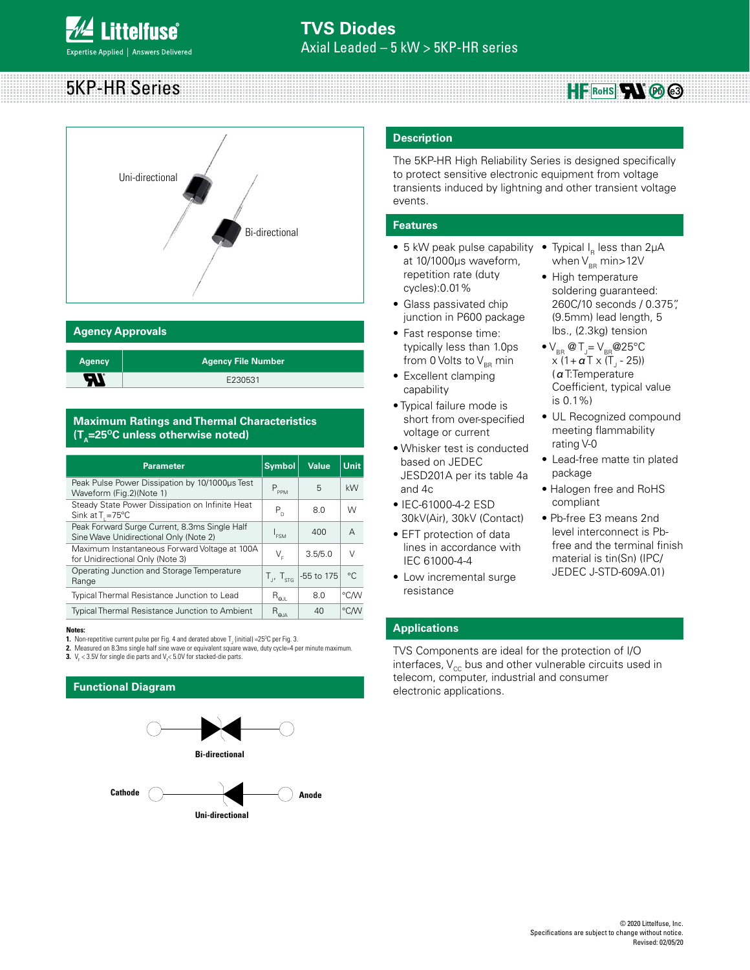## 5KP-HR Series  $HF$  RoHS<sup>1</sup> **Rb** @



## **Agency Approvals**

| <b>Agency</b> | Agency File Number ' |
|---------------|----------------------|
| 57            | E230531              |

## **Maximum Ratings and Thermal Characteristics**   $(T_A=25^{\circ}C \text{ unless otherwise noted})$

| <b>Parameter</b>                                                                        | <b>Symbol</b>               | <b>Value</b> | <b>Unit</b> |
|-----------------------------------------------------------------------------------------|-----------------------------|--------------|-------------|
| Peak Pulse Power Dissipation by 10/1000us Test<br>Waveform (Fig.2)(Note 1)              | $P_{\text{ppM}}$            | 5            | kW          |
| Steady State Power Dissipation on Infinite Heat<br>Sink at $T = 75^{\circ}C$            | $P_{n}$                     | 8.0          | W           |
| Peak Forward Surge Current, 8.3ms Single Half<br>Sine Wave Unidirectional Only (Note 2) | $I_{FSM}$                   | 400          | A           |
| Maximum Instantaneous Forward Voltage at 100A<br>for Unidirectional Only (Note 3)       | V,                          | 3.5/5.0      | V           |
| Operating Junction and Storage Temperature<br>Range                                     | $T_{\rm J}$ , $T_{\rm sTG}$ | -55 to 175   | $^{\circ}C$ |
| Typical Thermal Resistance Junction to Lead                                             | $R_{_{\Theta\text{III}}}$   | 8.0          | °C/W        |
| <b>Typical Thermal Resistance Junction to Ambient</b>                                   | $R_{\rm q,a}$               | 40           | °CM         |

#### **Notes:**

**1.** Non-repetitive current pulse per Fig. 4 and derated above  $T_{_J}$  (initial) =25°C per Fig. 3.

2. Measured on 8.3ms single half sine wave or equivalent square wave, duty cycle=4 per minute maximum

**3.**  $V_F$  < 3.5V for single die parts and  $V_F$  < 5.0V for stacked-die parts.

## **Functional Diagram**



## **Description**

The 5KP-HR High Reliability Series is designed specifically to protect sensitive electronic equipment from voltage transients induced by lightning and other transient voltage events.

## **Features**

- 5 kW peak pulse capability at 10/1000μs waveform, repetition rate (duty cycles):0.01%
- Glass passivated chip junction in P600 package
- Fast response time: typically less than 1.0ps from 0 Volts to  $V_{BR}$  min
- Excellent clamping capability
- Typical failure mode is short from over-specified voltage or current
- Whisker test is conducted based on JEDEC JESD201A per its table 4a and 4c
- IEC-61000-4-2 ESD 30kV(Air), 30kV (Contact)
- EFT protection of data lines in accordance with IEC 61000-4-4
- Low incremental surge resistance
- Typical  $I_R$  less than 2 $\mu$ A when  $V_{BR}$  min>12V
- High temperature soldering guaranteed: 260C/10 seconds / 0.375", (9.5mm) lead length, 5 lbs., (2.3kg) tension
- $\bullet$  V<sub>BR</sub> @ T<sub>J</sub>= V<sub>BR</sub> @ 25°C x (1+ **α** Τ x (Τ<sub>յ</sub> - 25)) (αT:Temperature Coefficient, typical value is 0.1%)
- UL Recognized compound meeting flammability rating V-0
- Lead-free matte tin plated package
- Halogen free and RoHS compliant
- Pb-free E3 means 2nd level interconnect is Pbfree and the terminal finish material is tin(Sn) (IPC/ JEDEC J-STD-609A.01)

## **Applications**

TVS Components are ideal for the protection of I/O interfaces,  $V_{cc}$  bus and other vulnerable circuits used in telecom, computer, industrial and consumer electronic applications.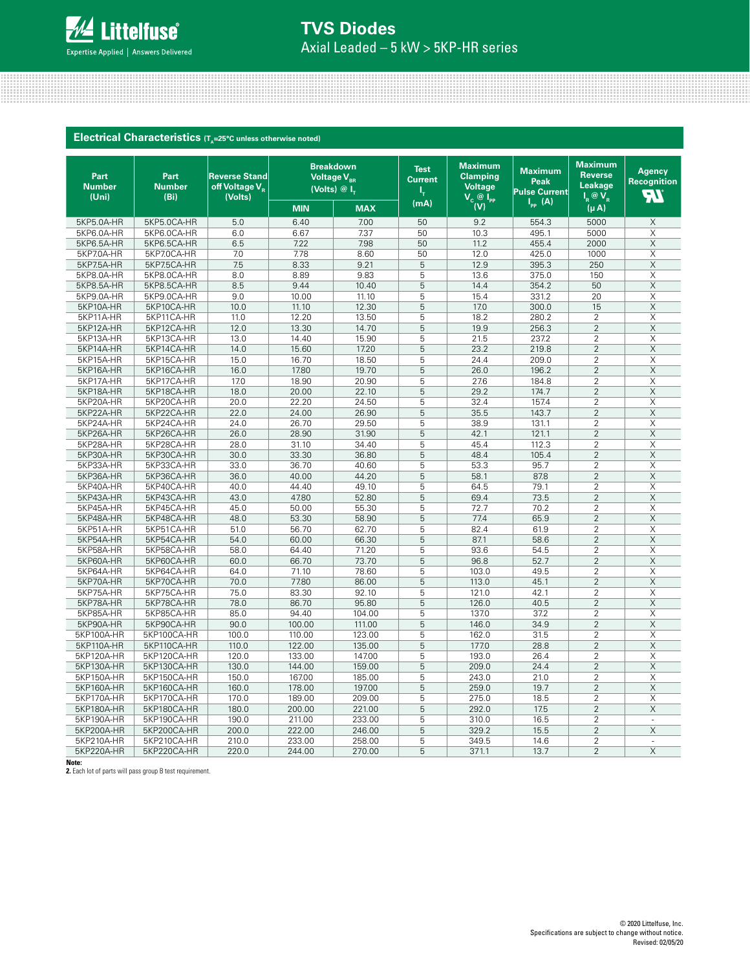

## Axial Leaded – 5 kW > 5KP-HR series **TVS Diodes**

|                                |                               | Electrical Characteristics (T <sub>A</sub> =25°C unless otherwise noted) |            |                                                                    |                                     |                                                                         |                                                |                                                                  |                                      |
|--------------------------------|-------------------------------|--------------------------------------------------------------------------|------------|--------------------------------------------------------------------|-------------------------------------|-------------------------------------------------------------------------|------------------------------------------------|------------------------------------------------------------------|--------------------------------------|
| Part<br><b>Number</b><br>(Uni) | Part<br><b>Number</b><br>(Bi) | <b>Reverse Stand</b><br>off Voltage V <sub>R</sub><br>(Volts)            |            | <b>Breakdown</b><br>Voltage V <sub>BR</sub><br>(Volts) $@I_{\tau}$ | <b>Test</b><br><b>Current</b><br>ι, | <b>Maximum</b><br><b>Clamping</b><br><b>Voltage</b><br>$V_c$ @ $I_{PP}$ | <b>Maximum</b><br>Peak<br><b>Pulse Current</b> | <b>Maximum</b><br><b>Reverse</b><br><b>Leakage</b><br>$I_R @V_R$ | <b>Agency</b><br>Recognition<br>न्ना |
|                                |                               |                                                                          | <b>MIN</b> | <b>MAX</b>                                                         | (mA)                                | (V)                                                                     | $I_{\text{pp}}(A)$                             | $(\mu A)$                                                        |                                      |
| 5KP5.0A-HR                     | 5KP5.0CA-HR                   | 5.0                                                                      | 6.40       | 7.00                                                               | 50                                  | 9.2                                                                     | 554.3                                          | 5000                                                             | X                                    |
| 5KP6.0A-HR                     | 5KP6.0CA-HR                   | 6.0                                                                      | 6.67       | 7.37                                                               | 50                                  | 10.3                                                                    | 495.1                                          | 5000                                                             | X                                    |
| 5KP6.5A-HR                     | 5KP6.5CA-HR                   | 6.5                                                                      | 7.22       | 7.98                                                               | 50                                  | 11.2                                                                    | 455.4                                          | 2000                                                             | Χ                                    |
| 5KP7.0A-HR                     | 5KP7.0CA-HR                   | 7.0                                                                      | 7.78       | 8.60                                                               | 50                                  | 12.0                                                                    | 425.0                                          | 1000                                                             | Χ                                    |
| 5KP7.5A-HR                     | 5KP7.5CA-HR                   | 7.5                                                                      | 8.33       | 9.21                                                               | 5                                   | 12.9                                                                    | 395.3                                          | 250                                                              | X                                    |
| 5KP8.0A-HR                     | 5KP8.0CA-HR                   | 8.0                                                                      | 8.89       | 9.83                                                               | 5                                   | 13.6                                                                    | 375.0                                          | 150                                                              | X                                    |
| 5KP8.5A-HR                     | 5KP8.5CA-HR                   | 8.5                                                                      | 9.44       | 10.40                                                              | 5                                   | 14.4                                                                    | 354.2                                          | 50                                                               | X                                    |
| 5KP9.0A-HR                     | 5KP9.0CA-HR                   | 9.0                                                                      | 10.00      | 11.10                                                              | 5                                   | 15.4                                                                    | 331.2                                          | 20                                                               | X                                    |
| 5KP10A-HR                      | 5KP10CA-HR                    | 10.0                                                                     | 11.10      | 12.30                                                              | 5                                   | 17.0                                                                    | 300.0                                          | 15                                                               | $\overline{X}$                       |
| 5KP11A-HR                      | 5KP11CA-HR                    | 11.0                                                                     | 12.20      | 13.50                                                              | 5                                   | 18.2                                                                    | 280.2                                          | $\overline{2}$                                                   | X                                    |
| 5KP12A-HR                      | 5KP12CA-HR                    | 12.0                                                                     | 13.30      | 14.70                                                              | 5                                   | 19.9                                                                    | 256.3                                          | $\overline{2}$                                                   | $\overline{X}$                       |
| 5KP13A-HR                      | 5KP13CA-HR                    | 13.0                                                                     | 14.40      | 15.90                                                              | 5                                   | 21.5                                                                    | 237.2                                          | $\overline{2}$                                                   | $\overline{\mathsf{x}}$              |
| 5KP14A-HR                      | 5KP14CA-HR                    | 14.0                                                                     | 15.60      | 17.20                                                              | 5                                   | 23.2                                                                    | 219.8                                          | $\overline{2}$                                                   | $\overline{\mathsf{X}}$              |
| 5KP15A-HR                      | 5KP15CA-HR                    | 15.0                                                                     | 16.70      | 18.50                                                              | 5                                   | 24.4                                                                    | 209.0                                          | $\overline{2}$                                                   | $\overline{\mathsf{x}}$              |
| 5KP16A-HR                      | 5KP16CA-HR                    | 16.0                                                                     | 17.80      | 19.70                                                              | 5                                   | 26.0                                                                    | 196.2                                          | $\overline{2}$                                                   | X                                    |
| 5KP17A-HR                      | 5KP17CA-HR                    | 17.0                                                                     | 18.90      | 20.90                                                              | 5                                   | 27.6                                                                    | 184.8                                          | $\overline{2}$                                                   | X                                    |
| 5KP18A-HR                      | 5KP18CA-HR                    | 18.0                                                                     | 20.00      | 22.10                                                              | 5                                   | 29.2                                                                    | 174.7                                          | $\overline{2}$                                                   | X                                    |
| 5KP20A-HR                      | 5KP20CA-HR                    | 20.0                                                                     | 22.20      | 24.50                                                              | 5                                   | 32.4                                                                    | 157.4                                          | $\overline{2}$                                                   | Χ                                    |
| 5KP22A-HR                      | 5KP22CA-HR                    | 22.0                                                                     | 24.00      | 26.90                                                              | 5                                   | 35.5                                                                    | 143.7                                          | $\overline{2}$                                                   | X                                    |
| 5KP24A-HR                      | 5KP24CA-HR                    | 24.0                                                                     | 26.70      | 29.50                                                              | 5                                   | 38.9                                                                    | 131.1                                          | $\overline{2}$                                                   | X                                    |
| 5KP26A-HR                      | 5KP26CA-HR                    | 26.0                                                                     | 28.90      | 31.90                                                              | 5                                   | 42.1                                                                    | 121.1                                          | $\overline{2}$                                                   | X                                    |
| 5KP28A-HR                      | 5KP28CA-HR                    | 28.0                                                                     | 31.10      | 34.40                                                              | 5                                   | 45.4                                                                    | 112.3                                          | $\overline{2}$                                                   | X                                    |
| 5KP30A-HR                      | 5KP30CA-HR                    | 30.0                                                                     | 33.30      | 36.80                                                              | 5                                   | 48.4                                                                    | 105.4                                          | $\overline{2}$                                                   | Χ                                    |
| 5KP33A-HR                      | 5KP33CA-HR                    | 33.0                                                                     | 36.70      | 40.60                                                              | 5                                   | 53.3                                                                    | 95.7                                           | $\overline{2}$                                                   | Χ                                    |
| 5KP36A-HR                      | 5KP36CA-HR                    | 36.0                                                                     | 40.00      | 44.20                                                              | 5                                   | 58.1                                                                    | 87.8                                           | $\overline{2}$                                                   | X                                    |
| 5KP40A-HR                      | 5KP40CA-HR                    | 40.0                                                                     | 44.40      | 49.10                                                              | 5                                   | 64.5                                                                    | 79.1                                           | 2                                                                | X                                    |
| 5KP43A-HR                      | 5KP43CA-HR                    | 43.0                                                                     | 47.80      | 52.80                                                              | 5                                   | 69.4                                                                    | 73.5                                           | $\overline{c}$                                                   | Χ                                    |
| 5KP45A-HR                      | 5KP45CA-HR                    | 45.0                                                                     | 50.00      | 55.30                                                              | 5                                   | 72.7                                                                    | 70.2                                           | $\overline{2}$                                                   | Χ                                    |
| 5KP48A-HR                      | 5KP48CA-HR                    | 48.0                                                                     | 53.30      | 58.90                                                              | 5                                   | 77.4                                                                    | 65.9                                           | $\overline{2}$                                                   | Χ                                    |
| 5KP51A-HR                      | 5KP51CA-HR                    | 51.0                                                                     | 56.70      | 62.70                                                              | 5                                   | 82.4                                                                    | 61.9                                           | $\overline{2}$                                                   | X                                    |
| 5KP54A-HR                      | 5KP54CA-HR                    | 54.0                                                                     | 60.00      | 66.30                                                              | 5                                   | 87.1                                                                    | 58.6                                           | $\overline{2}$                                                   | X                                    |
| 5KP58A-HR                      | 5KP58CA-HR                    | 58.0                                                                     | 64.40      | 71.20                                                              | 5                                   | 93.6                                                                    | 54.5                                           | 2                                                                | X                                    |
| 5KP60A-HR                      | 5KP60CA-HR                    | 60.0                                                                     | 66.70      | 73.70                                                              | 5                                   | 96.8                                                                    | 52.7                                           | $\overline{2}$                                                   | X                                    |
| 5KP64A-HR                      | 5KP64CA-HR                    | 64.0                                                                     | 71.10      | 78.60                                                              | 5                                   | 103.0                                                                   | 49.5                                           | $\overline{2}$                                                   | X                                    |
| 5KP70A-HR                      | 5KP70CA-HR                    | 70.0                                                                     | 77.80      | 86.00                                                              | 5                                   | 113.0                                                                   | 45.1                                           | $\overline{2}$                                                   | X                                    |
| 5KP75A-HR                      | 5KP75CA-HR                    | 75.0                                                                     | 83.30      | 92.10                                                              | 5                                   | 121.0                                                                   | 42.1                                           | $\overline{2}$                                                   | X                                    |
| 5KP78A-HR                      | 5KP78CA-HR                    | 78.0                                                                     | 86.70      | 95.80                                                              | 5                                   | 126.0                                                                   | 40.5                                           | $\overline{2}$                                                   | $\overline{\mathsf{X}}$              |
| 5KP85A-HR                      | 5KP85CA-HR                    | 85.0                                                                     | 94.40      | 104.00                                                             | 5                                   | 137.0                                                                   | 37.2                                           | 2                                                                | $\overline{\mathsf{x}}$              |
| 5KP90A-HR                      | 5KP90CA-HR                    | 90.0                                                                     | 100.00     | 111.00                                                             | 5                                   | 146.0                                                                   | 34.9                                           | $\overline{2}$                                                   | Χ                                    |
| 5KP100A-HR                     | 5KP100CA-HR                   | 100.0                                                                    | 110.00     | 123.00                                                             | 5                                   | 162.0                                                                   | 31.5                                           | $\overline{2}$<br>$\overline{2}$                                 | X                                    |
| 5KP110A-HR                     | 5KP110CA-HR                   | 110.0                                                                    | 122.00     | 135.00                                                             | 5                                   | 177.0                                                                   | 28.8                                           |                                                                  | X                                    |
| 5KP120A-HR                     | 5KP120CA-HR                   | 120.0                                                                    | 133.00     | 147.00                                                             | 5                                   | 193.0                                                                   | 26.4                                           | $\overline{2}$                                                   | X                                    |
| 5KP130A-HR                     | 5KP130CA-HR                   | 130.0                                                                    | 144.00     | 159.00                                                             | 5                                   | 209.0                                                                   | 24.4                                           | $\overline{2}$                                                   | Χ                                    |
| 5KP150A-HR                     | 5KP150CA-HR                   | 150.0                                                                    | 167.00     | 185.00                                                             | 5                                   | 243.0                                                                   | 21.0                                           | $\overline{2}$                                                   | X                                    |
| 5KP160A-HR                     | 5KP160CA-HR                   | 160.0                                                                    | 178.00     | 197.00                                                             | 5                                   | 259.0                                                                   | 19.7                                           | $\overline{2}$                                                   | X                                    |
| 5KP170A-HR                     | 5KP170CA-HR                   | 170.0                                                                    | 189.00     | 209.00                                                             | 5                                   | 275.0                                                                   | 18.5                                           | $\overline{2}$                                                   | Χ                                    |
| 5KP180A-HR                     | 5KP180CA-HR                   | 180.0                                                                    | 200.00     | 221.00                                                             | 5                                   | 292.0                                                                   | 17.5                                           | $\overline{2}$                                                   | Χ                                    |
| 5KP190A-HR                     | 5KP190CA-HR                   | 190.0                                                                    | 211.00     | 233.00                                                             | 5                                   | 310.0                                                                   | 16.5                                           | 2                                                                | ÷.                                   |
| 5KP200A-HR                     | 5KP200CA-HR                   | 200.0                                                                    | 222.00     | 246.00                                                             | 5                                   | 329.2                                                                   | 15.5                                           | $\overline{2}$                                                   | X                                    |
| 5KP210A-HR                     | 5KP210CA-HR                   | 210.0                                                                    | 233.00     | 258.00                                                             | 5                                   | 349.5                                                                   | 14.6                                           | 2                                                                | $\sim$                               |
| 5KP220A-HR                     | 5KP220CA-HR                   | 220.0                                                                    | 244.00     | 270.00                                                             | 5                                   | 371.1                                                                   | 13.7                                           | $\overline{2}$                                                   | $\mathsf X$                          |

**Note: 2.** Each lot of parts will pass group B test requirement.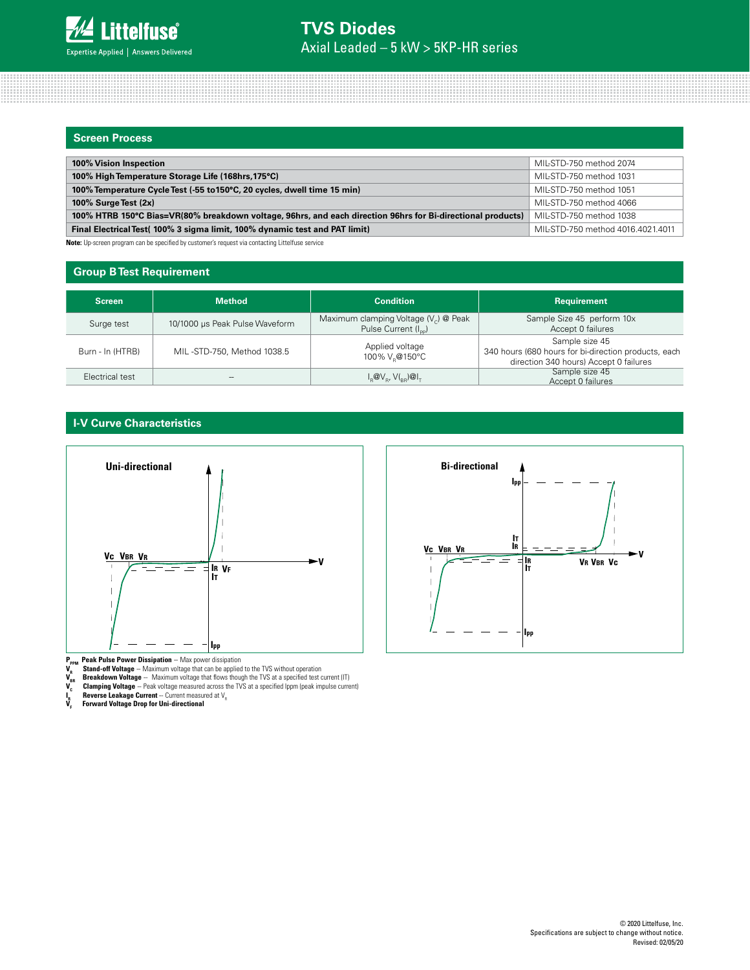## **Screen Process**

| 100% Vision Inspection                                                                                      | MIL-STD-750 method 2074           |
|-------------------------------------------------------------------------------------------------------------|-----------------------------------|
| 100% High Temperature Storage Life (168hrs, 175°C)                                                          | MIL-STD-750 method 1031           |
| 100% Temperature Cycle Test (-55 to 150°C, 20 cycles, dwell time 15 min)                                    | MIL-STD-750 method 1051           |
| 100% Surge Test (2x)                                                                                        | MIL-STD-750 method 4066           |
| 100% HTRB 150°C Bias=VR(80% breakdown voltage, 96hrs, and each direction 96hrs for Bi-directional products) | MIL-STD-750 method 1038           |
| Final Electrical Test( 100% 3 sigma limit, 100% dynamic test and PAT limit)                                 | MIL-STD-750 method 4016.4021.4011 |
|                                                                                                             |                                   |

**Note:** Up-screen program can be specified by customer's request via contacting Littelfuse service

### **Group B Test Requirement**

| <b>Screen</b>    | <b>Method</b>                  | <b>Condition</b>                                                                                                  | Requirement                                                                                                      |
|------------------|--------------------------------|-------------------------------------------------------------------------------------------------------------------|------------------------------------------------------------------------------------------------------------------|
| Surge test       | 10/1000 µs Peak Pulse Waveform | Maximum clamping Voltage $(V_c)$ @ Peak<br>Pulse Current (I <sub>nn</sub> )                                       | Sample Size 45 perform 10x<br>Accept 0 failures                                                                  |
| Burn - In (HTRB) | MIL-STD-750, Method 1038.5     | Applied voltage<br>100% V.@150°C                                                                                  | Sample size 45<br>340 hours (680 hours for bi-direction products, each<br>direction 340 hours) Accept 0 failures |
| Electrical test  | --                             | $I_{\scriptscriptstyle{B}}@V_{\scriptscriptstyle{B}}$ , $V(I_{\scriptscriptstyle{BB}})@I_{\scriptscriptstyle{T}}$ | Sample size 45<br>Accept 0 failures                                                                              |

## **I-V Curve Characteristics**



**P<sub>PPM</sub> Peak Pulse Power Dissipation** -- Max power dissipation

- **Stand-off Voltage** -- Maximum voltage that can be applied to the TVS without operation
- 
- **V<sub>es</sub> Breakdown Voltage** -- Maximum voltage that flows though the TVS at a specified test current (IT)<br>**V<sub>c</sub> Clamping Voltage** -- Peak voltage measured across the TVS at a specified Ippm (peak impulse current)
- **I<sub>R</sub> Reverse Leakage Current** -- Current measured at V<sub>R</sub><br>V<sub>F</sub> Forward Voltage Drop for Uni-directional
- 

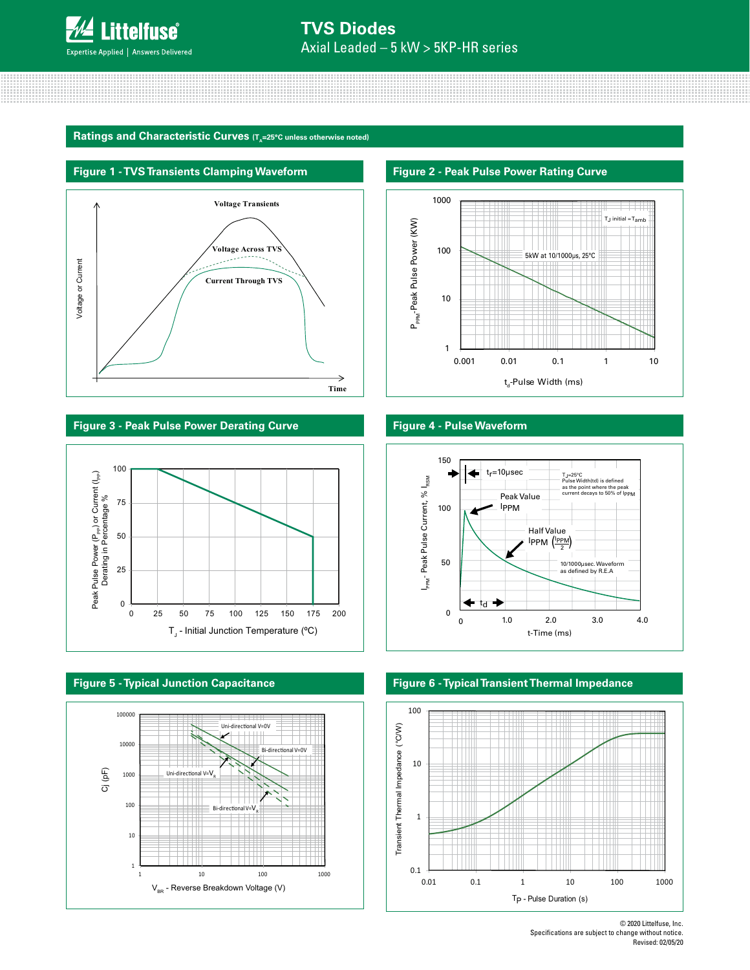

Ratings and Characteristic Curves (T<sub>A</sub>=25°C unless otherwise noted)

## **Figure 1 - TVS Transients Clamping Waveform**



**Figure 3 - Peak Pulse Power Derating Curve Figure 4 - Pulse Waveform**









#### **Figure 2 - Peak Pulse Power Rating Curve**





**Figure 6 - Typical Transient Thermal Impedance**



© 2020 Littelfuse, Inc. Specifications are subject to change without notice. Revised: 02/05/20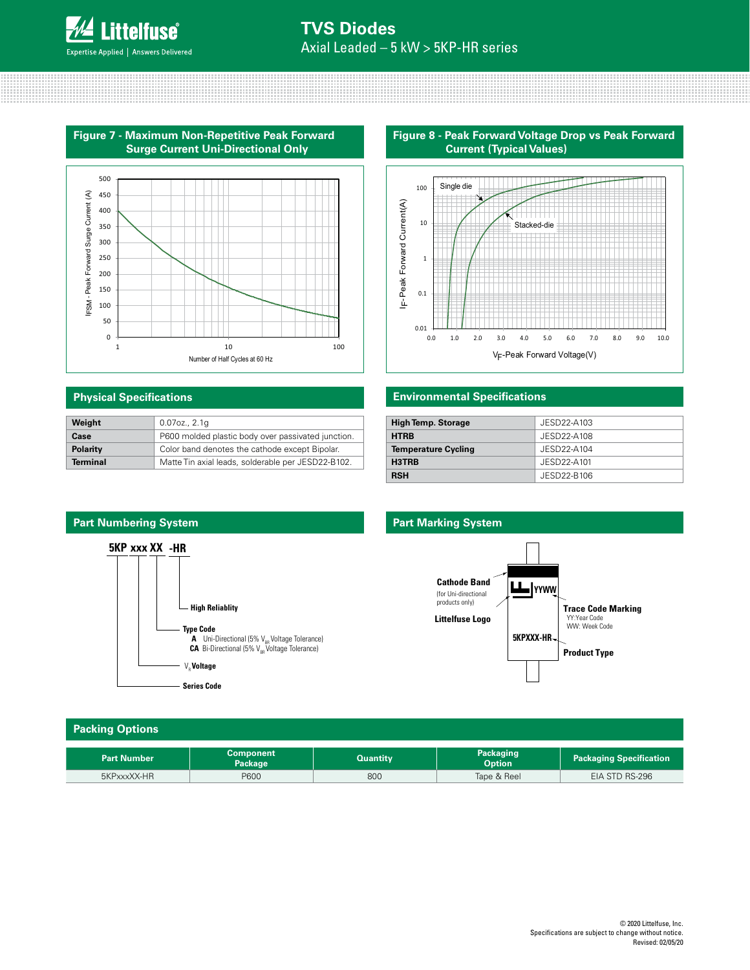

**Figure 7 - Maximum Non-Repetitive Peak Forward Surge Current Uni-Directional Only**



## **Physical Specifications**

| Weight          | $0.07$ oz., $2.1q$                                 |
|-----------------|----------------------------------------------------|
| Case            | P600 molded plastic body over passivated junction. |
| <b>Polarity</b> | Color band denotes the cathode except Bipolar.     |
| <b>Terminal</b> | Matte Tin axial leads, solderable per JESD22-B102. |

## **Figure 8 - Peak Forward Voltage Drop vs Peak Forward Current (Typical Values)**



## **Environmental Specifications**

| <b>High Temp. Storage</b>  | JESD22-A103 |
|----------------------------|-------------|
| <b>HTRB</b>                | JESD22-A108 |
| <b>Temperature Cycling</b> | JESD22-A104 |
| H3TRB                      | JESD22-A101 |
| <b>RSH</b>                 | JESD22-B106 |



## **Part Marking System**



## **Packing Options**

| <b>Part Number</b> | Component<br>Package | Quantitv | Packaging<br><b>Option</b> | <b>Packaging Specification</b> |
|--------------------|----------------------|----------|----------------------------|--------------------------------|
| 5KPxxxXX-HR        | P600                 | 800      | Tape & Reel                | EIA STD RS-296                 |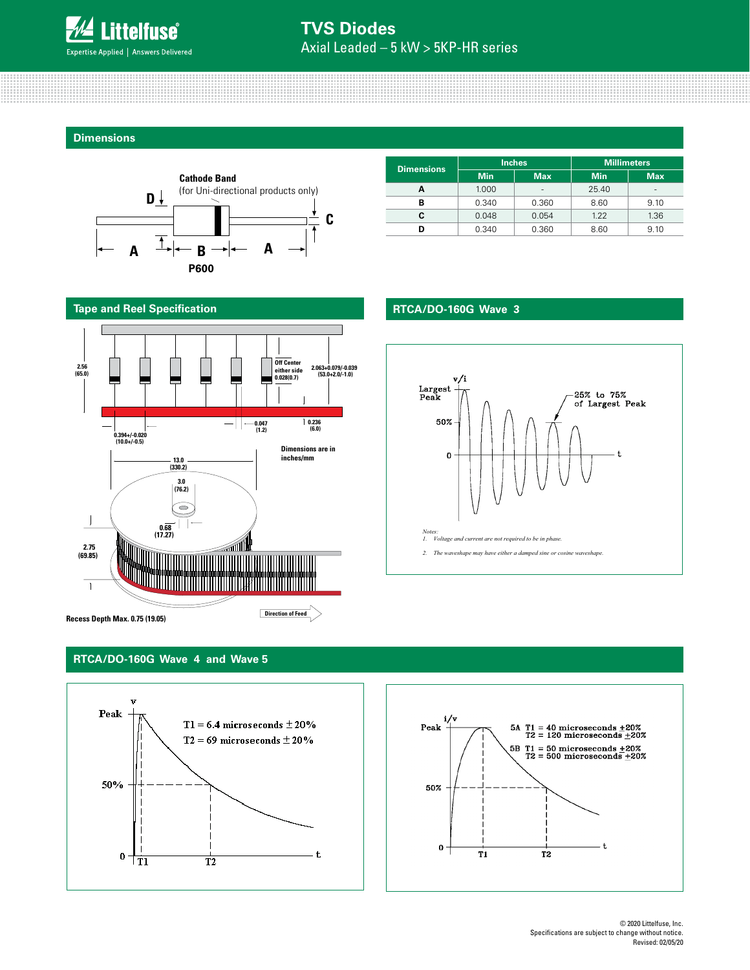

## Axial Leaded – 5 kW > 5KP-HR series **TVS Diodes**

**Dimensions**



| <b>Dimensions</b> |            | <b>Inches</b>            | <b>Millimeters</b> |                          |  |  |  |  |
|-------------------|------------|--------------------------|--------------------|--------------------------|--|--|--|--|
|                   | <b>Min</b> | <b>Max</b>               | <b>Min</b>         | <b>Max</b>               |  |  |  |  |
|                   | 1.000      | $\overline{\phantom{a}}$ | 25.40              | $\overline{\phantom{a}}$ |  |  |  |  |
| в                 | 0.340      | 0.360                    | 8.60               | 9.10                     |  |  |  |  |
| c                 | 0.048      | 0.054                    | 1.22               | 1.36                     |  |  |  |  |
|                   | 0.340      | 0.360                    | 8.60               | 9.10                     |  |  |  |  |

## **RTCA/DO-160G Wave 3**



**Tape and Reel Specification**



**Recess Depth Max. 0.75 (19.05)**

## **RTCA/DO-160G Wave 4 and Wave 5**



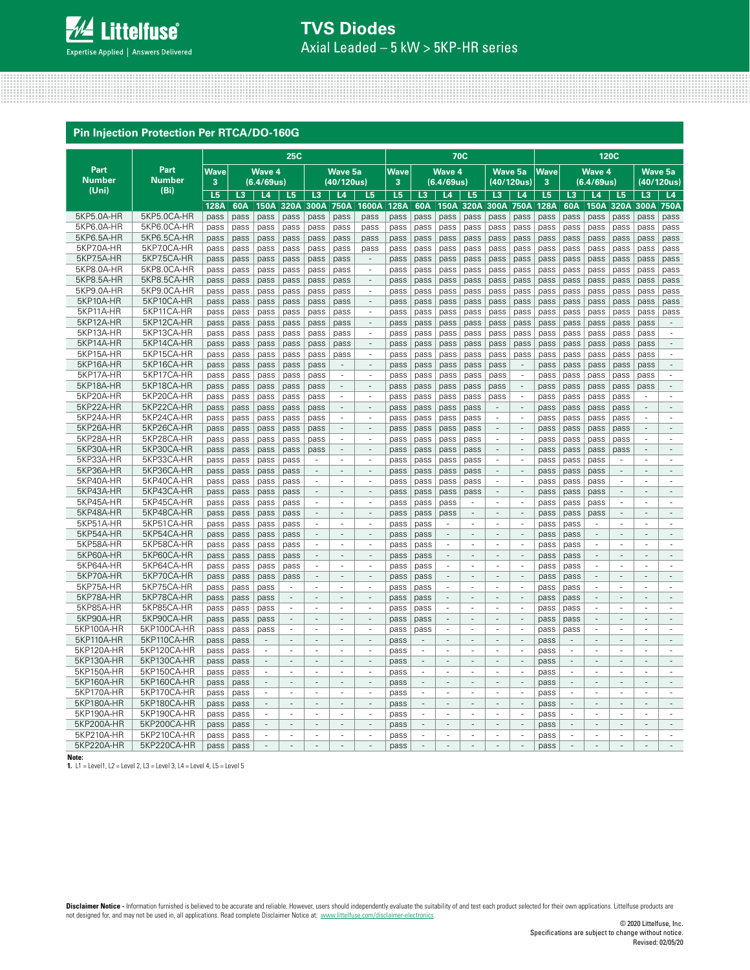

## Axial Leaded – 5 kW > 5KP-HR series **TVS Diodes**

#### **Pin Injection Protection Per RTCA/DO-160G**

|                        | <b>25C</b>               |                |              |                          |                          |                          |                                    | <b>70C</b>                     |                |                          |                          |                          |                               |                                                      | 120C         |                          |                          |                          |                                |                          |
|------------------------|--------------------------|----------------|--------------|--------------------------|--------------------------|--------------------------|------------------------------------|--------------------------------|----------------|--------------------------|--------------------------|--------------------------|-------------------------------|------------------------------------------------------|--------------|--------------------------|--------------------------|--------------------------|--------------------------------|--------------------------|
| Part                   | Part                     | <b>Wave</b>    |              | <b>Wave 4</b>            |                          |                          | <b>Wave 5a</b>                     |                                | <b>Wave</b>    |                          | <b>Wave 4</b>            |                          |                               | Wave 5a                                              | <b>Wave</b>  |                          | <b>Wave 4</b>            |                          |                                | Wave 5a                  |
| <b>Number</b>          | <b>Number</b>            | 3              |              | (6.4/69us)               |                          |                          | (40/120us)                         |                                | 3              |                          | (6.4/69us)               |                          |                               | (40/120us)                                           | 3            |                          | (6.4/69us)               |                          |                                | (40/120us)               |
| (Uni)                  | (B <sub>i</sub> )        | L <sub>5</sub> | L3           | L4                       | L5                       | L3                       | L4                                 | L5                             | L <sub>5</sub> | L3                       | L4                       | L5                       | L <sub>3</sub>                | L4                                                   | L5           | L3                       | L4                       | L5                       | L <sub>3</sub>                 | L4                       |
|                        |                          | 128A           | 60A          | 150A                     | 320A                     | 300A                     | 750A                               | 1600A                          | 128A           | 60A                      | 150A                     | 320A                     | 300A                          | 750A                                                 | 128A         | 60A                      | 150A                     | 320A                     | 300A                           | 750A                     |
| 5KP5.0A-HR             | 5KP5.0CA-HR              | pass           | pass         | pass                     | pass                     | pass                     | pass                               | pass                           | pass           | pass                     | pass                     | pass                     | pass                          | pass                                                 | pass         | pass                     | pass                     | pass                     | pass                           | pass                     |
| 5KP6.0A-HR             | 5KP6.0CA-HR              | pass           | pass         | pass                     | pass                     | pass                     | pass                               | pass                           | pass           | pass                     | pass                     | pass                     | pass                          | pass                                                 | pass         | pass                     | pass                     | pass                     | pass                           | pass                     |
| 5KP6.5A-HR             | 5KP6.5CA-HR              | pass           | pass         | pass                     | pass                     | pass                     | pass                               | pass                           | pass           | pass                     | pass                     | pass                     | pass                          | pass                                                 | pass         | pass                     | pass                     | pass                     | pass                           | pass                     |
| 5KP7.0A-HR             | 5KP7.0CA-HR              | pass           | pass         | pass                     | pass                     | pass                     | pass                               | pass                           | pass           | pass                     | pass                     | pass                     | pass                          | pass                                                 | pass         | pass                     | pass                     | pass                     | pass                           | pass                     |
| 5KP7.5A-HR             | 5KP7.5CA-HR              | pass           | pass         | pass                     | pass                     | pass                     | pass                               | $\overline{\phantom{a}}$       | pass           | pass                     | pass                     | pass                     | pass                          | pass                                                 | pass         | pass                     | pass                     | pass                     | pass                           | pass                     |
| 5KP8.0A-HR             | 5KP8.0CA-HR              | pass           | pass         | pass                     | pass                     | pass                     | pass                               | $\overline{\phantom{a}}$       | pass           | pass                     | pass                     | pass                     | pass                          | pass                                                 | pass         | pass                     | pass                     | pass                     | pass                           | pass                     |
| 5KP8.5A-HR             | 5KP8.5CA-HR              | pass           | pass         | pass                     | pass                     | pass                     | pass                               | $\overline{\phantom{a}}$       | pass           | pass                     | pass                     | pass                     | pass                          | pass                                                 | pass         | pass                     | pass                     | pass                     | pass                           | pass                     |
| 5KP9.0A-HR             | 5KP9.0CA-HR              | pass           | pass         | pass                     | pass                     | pass                     | pass                               | $\overline{\phantom{a}}$<br>÷. | pass           | pass                     | pass                     | pass                     | pass                          | pass                                                 | pass         | pass                     | pass                     | pass                     | pass                           | pass                     |
| 5KP10A-HR              | 5KP10CA-HR               | pass           | pass         | pass                     | pass                     | pass                     | pass                               |                                | pass           | pass                     | pass                     | pass                     | pass                          | pass                                                 | pass         | pass                     | pass                     | pass                     | pass                           | pass                     |
| 5KP11A-HR              | 5KP11CA-HR               | pass           | pass         | pass                     | pass                     | pass                     | pass                               | $\sim$                         | pass           | pass                     | pass                     | pass                     | pass                          | pass                                                 | pass         | pass                     | pass                     | pass                     | pass                           | pass                     |
| 5KP12A-HR              | 5KP12CA-HR               | pass           | pass         | pass                     | pass                     | pass                     | pass                               | $\overline{\phantom{a}}$       | pass           | pass                     | pass                     | pass                     | pass                          | pass                                                 | pass         | pass                     | pass                     | pass                     | pass                           | $\overline{\phantom{a}}$ |
| 5KP13A-HR<br>5KP14A-HR | 5KP13CA-HR<br>5KP14CA-HR | pass           | pass         | pass                     | pass                     | pass                     | pass                               | ä,                             | pass           | pass                     | pass                     | pass                     | pass                          | pass                                                 | pass         | pass                     | pass                     | pass                     | pass                           | $\overline{\phantom{a}}$ |
|                        |                          | pass           | pass         | pass                     | pass                     | pass                     | pass                               | $\overline{\phantom{a}}$       | pass           | pass                     | pass                     | pass                     | pass                          | pass                                                 | pass         | pass                     | pass                     | pass                     | pass                           | $\overline{\phantom{a}}$ |
| 5KP15A-HR              | 5KP15CA-HR               | pass           | pass         | pass                     | pass                     | pass                     | pass                               | ×.                             | pass           | pass                     | pass                     | pass                     | pass                          | pass                                                 | pass         | pass                     | pass                     | pass                     | pass                           | $\sim$                   |
| 5KP16A-HR              | 5KP16CA-HR               | pass           | pass         | pass                     | pass                     | pass                     | $\overline{\phantom{a}}$           | $\overline{\phantom{a}}$       | pass           | pass                     | pass                     | pass                     | pass                          | $\overline{\phantom{a}}$                             | pass         | pass                     | pass                     | pass                     | pass                           | $\overline{\phantom{a}}$ |
| 5KP17A-HR              | 5KP17CA-HR               | pass           | pass         | pass                     | pass                     | pass                     | $\overline{\phantom{a}}$<br>$\sim$ | ä,<br>$\overline{\phantom{a}}$ | pass           | pass                     | pass                     | pass                     | pass                          | $\overline{\phantom{a}}$<br>$\overline{\phantom{a}}$ | pass         | pass                     | pass                     | pass                     | pass                           | $\sim$                   |
| 5KP18A-HR              | 5KP18CA-HR               | pass           | pass         | pass                     | pass                     | pass                     |                                    |                                | pass           | pass                     | pass                     | pass                     | pass                          |                                                      | pass         | pass                     | pass                     | pass                     | pass                           |                          |
| 5KP20A-HR              | 5KP20CA-HR               | pass           | pass         | pass                     | pass                     | pass                     | ٠<br>$\mathbf{r}$                  | $\overline{\phantom{a}}$<br>÷. | pass           | pass                     | pass                     | pass                     | pass<br>$\overline{a}$        | ÷<br>$\overline{a}$                                  | pass         | pass                     | pass                     | pass                     | $\sim$<br>÷                    | ÷<br>÷.                  |
| 5KP22A-HR              | 5KP22CA-HR               | pass           | pass         | pass                     | pass                     | pass                     |                                    |                                | pass           | pass                     | pass                     | pass                     |                               |                                                      | pass         | pass                     | pass                     | pass                     |                                |                          |
| 5KP24A-HR              | 5KP24CA-HR               | pass           | pass         | pass                     | pass                     | pass                     | $\overline{\phantom{a}}$           | ä,                             | pass           | pass                     | pass                     | pass                     | $\overline{\phantom{a}}$      | $\overline{\phantom{a}}$                             | pass         | pass                     | pass                     | pass                     | $\overline{\phantom{a}}$       | $\sim$                   |
| 5KP26A-HR              | 5KP26CA-HR               | pass           | pass         | pass                     | pass                     | pass                     | $\overline{\phantom{a}}$           | $\overline{a}$                 | pass           | pass                     | pass                     | pass                     | $\overline{\phantom{a}}$<br>÷ | $\overline{\phantom{a}}$<br>÷,                       | pass         | pass                     | pass                     | pass                     | $\overline{\phantom{a}}$<br>×. | ×,                       |
| 5KP28A-HR<br>5KP30A-HR | 5KP28CA-HR<br>5KP30CA-HR | pass           | pass         | pass                     | pass                     | pass                     | $\overline{\phantom{a}}$<br>$\sim$ | ÷,<br>$\overline{\phantom{a}}$ | pass           | pass                     | pass                     | pass                     | $\overline{\phantom{a}}$      | $\overline{\phantom{a}}$                             | pass         | pass                     | pass                     | pass                     | $\sim$                         | $\sim$                   |
| 5KP33A-HR              | 5KP33CA-HR               | pass           | pass         | pass                     | pass                     | pass<br>÷.               |                                    | ÷.                             | pass           | pass                     | pass                     | pass                     | ÷                             | ÷,                                                   | pass         | pass                     | pass                     | pass<br>×,               | $\sim$                         | $\sim$                   |
| 5KP36A-HR              | 5KP36CA-HR               | pass<br>pass   | pass<br>pass | pass<br>pass             | pass<br>pass             | $\overline{\phantom{a}}$ | $\overline{\phantom{a}}$           | $\sim$                         | pass           | pass<br>pass             | pass<br>pass             | pass<br>pass             | $\overline{\phantom{a}}$      | $\sim$                                               | pass         | pass<br>pass             | pass<br>pass             | $\overline{\phantom{a}}$ | $\sim$                         | $\sim$                   |
| 5KP40A-HR              | 5KP40CA-HR               | pass           | pass         | pass                     | pass                     | $\overline{\phantom{a}}$ |                                    | $\overline{\phantom{a}}$       | pass<br>pass   | pass                     | pass                     | pass                     | $\overline{\phantom{a}}$      | $\overline{\phantom{a}}$                             | pass<br>pass | pass                     | pass                     | $\sim$                   | $\sim$                         | $\overline{\phantom{a}}$ |
| 5KP43A-HR              | 5KP43CA-HR               | pass           | pass         | pass                     | pass                     | $\overline{\phantom{a}}$ | $\overline{\phantom{a}}$           | $\overline{\phantom{a}}$       | pass           | pass                     | pass                     | pass                     | $\sim$                        | $\mathcal{L}$                                        | pass         | pass                     | pass                     | $\mathcal{L}$            | $\mathcal{L}$                  | $\mathcal{L}$            |
| 5KP45A-HR              | 5KP45CA-HR               | pass           | pass         | pass                     | pass                     | $\sim$                   | $\sim$                             | $\sim$                         | pass           | pass                     | pass                     | $\sim$                   | $\sim$                        | ÷.                                                   | pass         | pass                     | pass                     | $\sim$                   | $\sim$                         | $\sim$                   |
| 5KP48A-HR              | 5KP48CA-HR               | pass           | pass         | pass                     | pass                     | ÷                        |                                    | $\overline{a}$                 | pass           | pass                     | pass                     | ÷.                       | ÷.                            | ÷.                                                   | pass         | pass                     | pass                     | ÷.                       | ÷.                             | ÷.                       |
| 5KP51A-HR              | 5KP51CA-HR               | pass           | pass         | pass                     | pass                     | $\overline{\phantom{a}}$ | ÷.                                 | ×,                             | pass           | pass                     | $\sim$                   | $\sim$                   | $\sim$                        | $\sim$                                               | pass         | pass                     | $\sim$                   | $\sim$                   | $\sim$                         | $\overline{\phantom{a}}$ |
| 5KP54A-HR              | 5KP54CA-HR               | pass           | pass         | pass                     | pass                     | $\overline{\phantom{a}}$ |                                    | $\overline{\phantom{a}}$       | pass           | pass                     | $\overline{\phantom{a}}$ | $\overline{\phantom{a}}$ | $\overline{\phantom{a}}$      | $\overline{\phantom{a}}$                             | pass         | pass                     | $\sim$                   | $\overline{\phantom{a}}$ | $\overline{\phantom{a}}$       | $\overline{\phantom{a}}$ |
| 5KP58A-HR              | 5KP58CA-HR               | pass           | pass         | pass                     | pass                     | $\sim$                   |                                    | $\overline{\phantom{a}}$       | pass           | pass                     | ÷                        | $\sim$                   | ÷.                            | ÷.                                                   | pass         | pass                     | ÷.                       | ÷.                       | ÷.                             | ÷.                       |
| 5KP60A-HR              | 5KP60CA-HR               | pass           | pass         | pass                     | pass                     | $\overline{\phantom{a}}$ | $\overline{\phantom{a}}$           | $\overline{\phantom{a}}$       | pass           | pass                     | $\sim$                   | $\overline{\phantom{a}}$ | $\overline{\phantom{a}}$      | $\overline{\phantom{a}}$                             | pass         | pass                     | $\overline{\phantom{a}}$ | $\overline{\phantom{a}}$ | $\overline{\phantom{a}}$       | $\sim$                   |
| 5KP64A-HR              | 5KP64CA-HR               | pass           | pass         | pass                     | pass                     | ×.                       |                                    | ÷.                             | pass           | pass                     | $\overline{\phantom{a}}$ | ÷.                       | ÷.                            | ÷.                                                   | pass         | pass                     | $\sim$                   | ÷.                       | $\sim$                         | ÷.                       |
| 5KP70A-HR              | 5KP70CA-HR               | pass           | pass         | pass                     | pass                     | $\overline{\phantom{a}}$ | $\sim$                             | $\overline{\phantom{a}}$       | pass           | pass                     | $\overline{\phantom{a}}$ | $\overline{\phantom{a}}$ | $\overline{\phantom{a}}$      | $\overline{\phantom{a}}$                             | pass         | pass                     | $\overline{\phantom{a}}$ | $\sim$                   | $\overline{\phantom{a}}$       | $\overline{\phantom{a}}$ |
| 5KP75A-HR              | 5KP75CA-HR               | pass           | pass         | pass                     | ×.                       | ×.                       |                                    | ÷,                             | pass           | pass                     | ×                        | $\overline{\phantom{a}}$ | ÷,                            | ÷.                                                   | pass         | pass                     | ×                        | ÷.                       | ÷.                             | $\overline{\phantom{a}}$ |
| 5KP78A-HR              | 5KP78CA-HR               | pass           | pass         | pass                     | $\overline{\phantom{a}}$ | $\overline{\phantom{a}}$ | ÷.                                 | L.                             | pass           | pass                     | $\overline{\phantom{a}}$ | ÷.                       | $\overline{\phantom{a}}$      | $\overline{\phantom{a}}$                             | pass         | pass                     | $\overline{\phantom{a}}$ | ÷.                       | $\overline{\phantom{a}}$       | $\mathbf{r}$             |
| 5KP85A-HR              | 5KP85CA-HR               | pass           | pass         | pass                     | $\sim$                   | ×.                       | ÷.                                 | ä,                             | pass           | pass                     | $\sim$                   | $\overline{\phantom{a}}$ | ÷.                            | $\overline{\phantom{a}}$                             | pass         | pass                     | ÷                        | ×                        | ×                              | ÷                        |
| 5KP90A-HR              | 5KP90CA-HR               | pass           | pass         | pass                     |                          | ÷,                       |                                    |                                | pass           | pass                     | $\overline{\phantom{a}}$ | ÷,                       | L.                            |                                                      | pass         | pass                     | $\overline{\phantom{a}}$ | L,                       | $\overline{a}$                 |                          |
| 5KP100A-HR             | 5KP100CA-HR              | pass           | pass         | pass                     | ä,                       | ÷.                       |                                    | ×.                             | pass           | pass                     | ÷.                       | ÷,                       | $\sim$                        | $\sim$                                               | pass         | pass                     | $\mathbf{r}$             | $\sim$                   | $\sim$                         | ÷.                       |
| 5KP110A-HR             | 5KP110CA-HR              | pass           | pass         | $\overline{\phantom{a}}$ | $\overline{\phantom{a}}$ | $\overline{\phantom{a}}$ |                                    | ÷,                             | pass           | $\overline{\phantom{a}}$ | $\overline{\phantom{a}}$ | $\overline{a}$           | $\overline{\phantom{a}}$      | $\overline{\phantom{a}}$                             | pass         | $\overline{\phantom{a}}$ | $\overline{\phantom{a}}$ | $\overline{\phantom{a}}$ | $\sim$                         | $\overline{\phantom{a}}$ |
| 5KP120A-HR             | 5KP120CA-HR              | pass           | pass         | ٠                        | ×.                       | ×.                       |                                    | $\overline{\phantom{a}}$       | pass           | $\sim$                   | $\sim$                   | ÷.                       | $\sim$                        | ×.                                                   | pass         | $\sim$                   | $\sim$                   | $\sim$                   | $\sim$                         | ×.                       |
| 5KP130A-HR             | 5KP130CA-HR              | pass           | pass         | $\overline{\phantom{a}}$ | $\overline{\phantom{a}}$ | $\overline{\phantom{a}}$ | $\overline{\phantom{a}}$           | $\overline{\phantom{a}}$       | pass           | $\sim$                   | $\sim$                   | $\sim$                   | $\sim$                        | $\overline{\phantom{a}}$                             | pass         | $\overline{\phantom{a}}$ | $\sim$                   | $\overline{\phantom{a}}$ | $\sim$                         | $\sim$                   |
| 5KP150A-HR             | 5KP150CA-HR              | pass           | pass         | $\sim$                   | ÷,                       | ä,                       |                                    | ä,                             | pass           | ä,                       | $\overline{\phantom{a}}$ | ä,                       | $\overline{\phantom{a}}$      | ÷,                                                   | pass         | ä,                       | $\overline{\phantom{a}}$ | $\sim$                   | $\sim$                         | $\overline{\phantom{a}}$ |
| 5KP160A-HR             | 5KP160CA-HR              | pass           | pass         | $\mathbf{r}$             | L.                       | $\overline{\phantom{a}}$ | $\overline{\phantom{a}}$           | $\overline{\phantom{a}}$       | pass           | $\overline{\phantom{a}}$ | $\overline{\phantom{a}}$ | $\overline{\phantom{a}}$ | $\mathbf{r}$                  | $\mathbf{r}$                                         | pass         | $\mathbf{r}$             | $\mathbf{r}$             | $\overline{\phantom{a}}$ | $\overline{\phantom{a}}$       | $\mathcal{L}$            |
| 5KP170A-HR             | 5KP170CA-HR              | pass           | pass         | $\sim$                   | ÷.                       | $\sim$                   | $\sim$                             | ÷.                             | pass           | $\sim$                   | $\sim$                   | ×.                       | $\sim$                        | $\sim$                                               | pass         | $\sim$                   | $\sim$                   | $\sim$                   | ×.                             | $\sim$                   |
| 5KP180A-HR             | 5KP180CA-HR              | pass           | pass         | $\mathcal{L}$            | $\overline{a}$           | $\sim$                   | $\sim$                             | $\overline{\phantom{a}}$       | pass           | $\mathbf{r}$             | $\sim$                   | $\overline{a}$           | $\mathcal{L}$                 | $\mathcal{L}$                                        | pass         | $\mathcal{L}$            | $\mathcal{L}$            | $\sim$                   | $\mathcal{L}$                  | $\sim$                   |
| 5KP190A-HR             | 5KP190CA-HR              | pass           | pass         | $\overline{\phantom{a}}$ | $\overline{\phantom{a}}$ | $\overline{\phantom{a}}$ | ×                                  | $\overline{\phantom{a}}$       | pass           | ٠                        | ×.                       | $\sim$                   | $\sim$                        | $\sim$                                               | pass         | $\sim$                   | $\sim$                   | $\sim$                   | $\sim$                         | $\sim$                   |
| 5KP200A-HR             | 5KP200CA-HR              | pass           | pass         |                          |                          |                          |                                    |                                | pass           |                          |                          |                          |                               |                                                      | pass         |                          |                          |                          |                                |                          |
| 5KP210A-HR             | 5KP210CA-HR              | pass           | pass         | ٠                        | ä,                       |                          |                                    | ä,                             | pass           | ÷,                       | ÷.                       | ä,                       | ÷.                            | ÷,                                                   | pass         | ÷                        | ÷,                       | ÷.                       | ÷.                             | $\overline{\phantom{a}}$ |
| 5KP220A-HR             | 5KP220CA-HR              | pass           | pass         | $\overline{\phantom{a}}$ |                          |                          |                                    |                                | pass           |                          | $\overline{\phantom{a}}$ |                          | $\overline{\phantom{a}}$      | $\overline{\phantom{a}}$                             | pass         |                          |                          |                          |                                |                          |

**Note:**

**1.** L1 = Level1, L2 = Level 2, L3 = Level 3, L4 = Level 4, L5 = Level 5

Disclaimer Notice - Information furnished is believed to be accurate and reliable. However, users should independently evaluate the suitability of and test each product selected for their own applications. Littelfuse produ